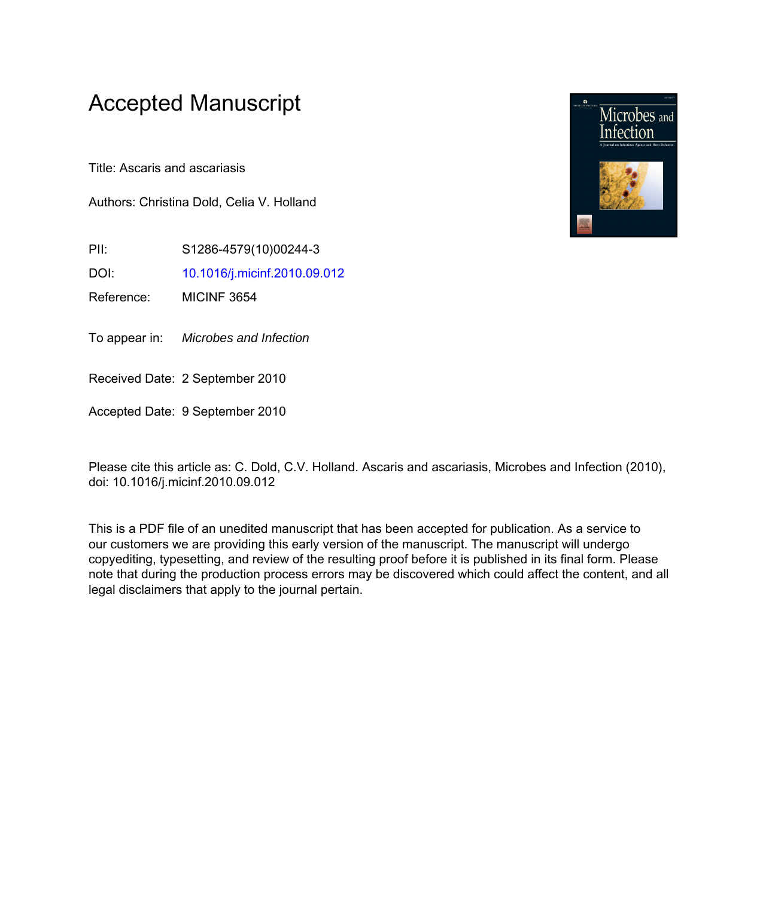# Accepted Manuscript

Title: Ascaris and ascariasis

Authors: Christina Dold, Celia V. Holland

PII: S1286-4579(10)00244-3

DOI: [10.1016/j.micinf.2010.09.012](http://dx.doi.org/10.1016/j.micinf.2010.09.012)

Reference: MICINF 3654

To appear in: Microbes and Infection

Received Date: 2 September 2010

Accepted Date: 9 September 2010

Please cite this article as: C. Dold, C.V. Holland. Ascaris and ascariasis, Microbes and Infection (2010), doi: 10.1016/j.micinf.2010.09.012

This is a PDF file of an unedited manuscript that has been accepted for publication. As a service to our customers we are providing this early version of the manuscript. The manuscript will undergo copyediting, typesetting, and review of the resulting proof before it is published in its final form. Please note that during the production process errors may be discovered which could affect the content, and all legal disclaimers that apply to the journal pertain.

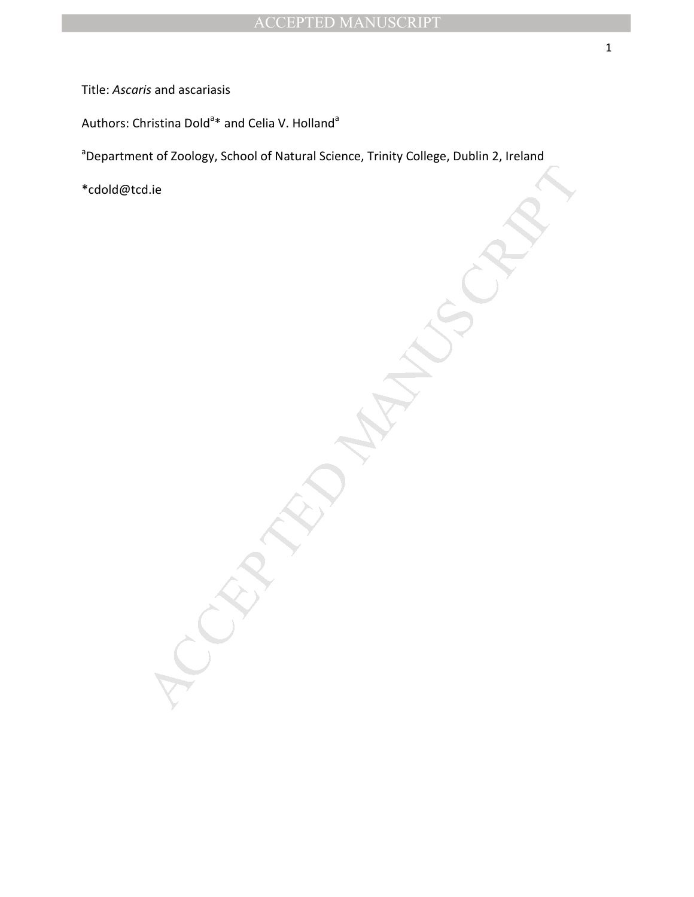Title: *Ascaris* and ascariasis

Authors: Christina Dold<sup>a</sup>\* and Celia V. Holland<sup>a</sup>

MANUSCRIPT <sup>a</sup>Department of Zoology, School of Natural Science, Trinity College, Dublin 2, Ireland

\*cdold@tcd.ie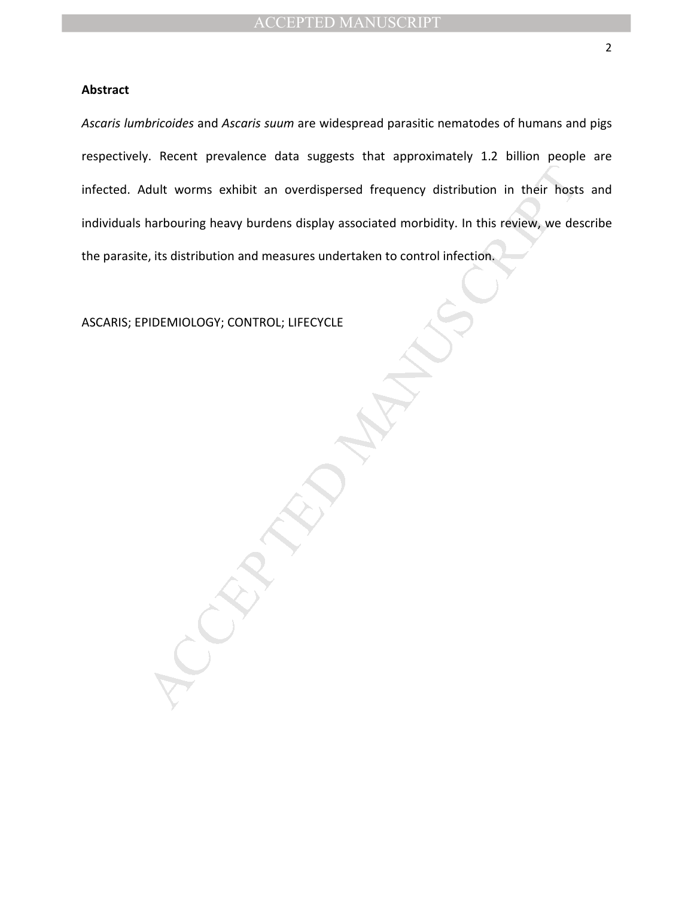# **Abstract**

Mult worms exhibit an overdispersed frequency distribution in their hosts<br>harbouring heavy burdens display associated morbidity. In this review, we determine the property of the set of<br>exact the control infection. *Ascaris lumbricoides* and *Ascaris suum* are widespread parasitic nematodes of humans and pigs respectively. Recent prevalence data suggests that approximately 1.2 billion people are infected. Adult worms exhibit an overdispersed frequency distribution in their hosts and individuals harbouring heavy burdens display associated morbidity. In this review, we describe the parasite, its distribution and measures undertaken to control infection.

ASCARIS; EPIDEMIOLOGY; CONTROL; LIFECYCLE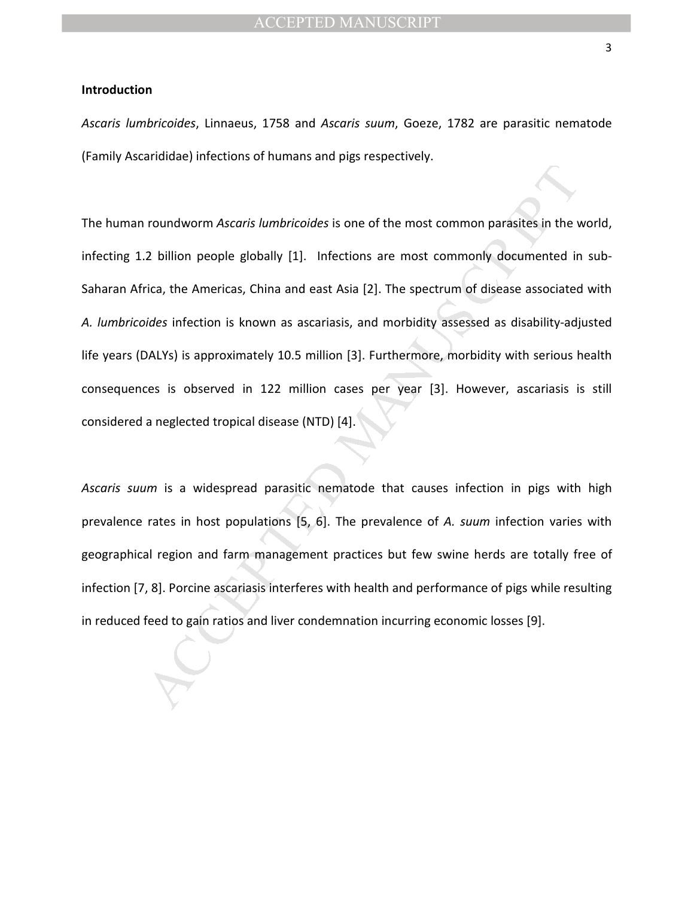# **Introduction**

*Ascaris lumbricoides*, Linnaeus, 1758 and *Ascaris suum*, Goeze, 1782 are parasitic nematode (Family Ascarididae) infections of humans and pigs respectively.

roundworm Ascaris lumbricoides is one of the most common parasites in the v<br>2 billion people globally [1]. Infections are most commonly documented in<br>tica, the Americas, China and east Asia [2]. The spectrum of disease ass The human roundworm *Ascaris lumbricoides* is one of the most common parasites in the world, infecting 1.2 billion people globally [1]. Infections are most commonly documented in sub-Saharan Africa, the Americas, China and east Asia [2]. The spectrum of disease associated with *A. lumbricoides* infection is known as ascariasis, and morbidity assessed as disability-adjusted life years (DALYs) is approximately 10.5 million [3]. Furthermore, morbidity with serious health consequences is observed in 122 million cases per year [3]. However, ascariasis is still considered a neglected tropical disease (NTD) [4].

*Ascaris suum* is a widespread parasitic nematode that causes infection in pigs with high prevalence rates in host populations [5, 6]. The prevalence of *A. suum* infection varies with geographical region and farm management practices but few swine herds are totally free of infection [7, 8]. Porcine ascariasis interferes with health and performance of pigs while resulting in reduced feed to gain ratios and liver condemnation incurring economic losses [9].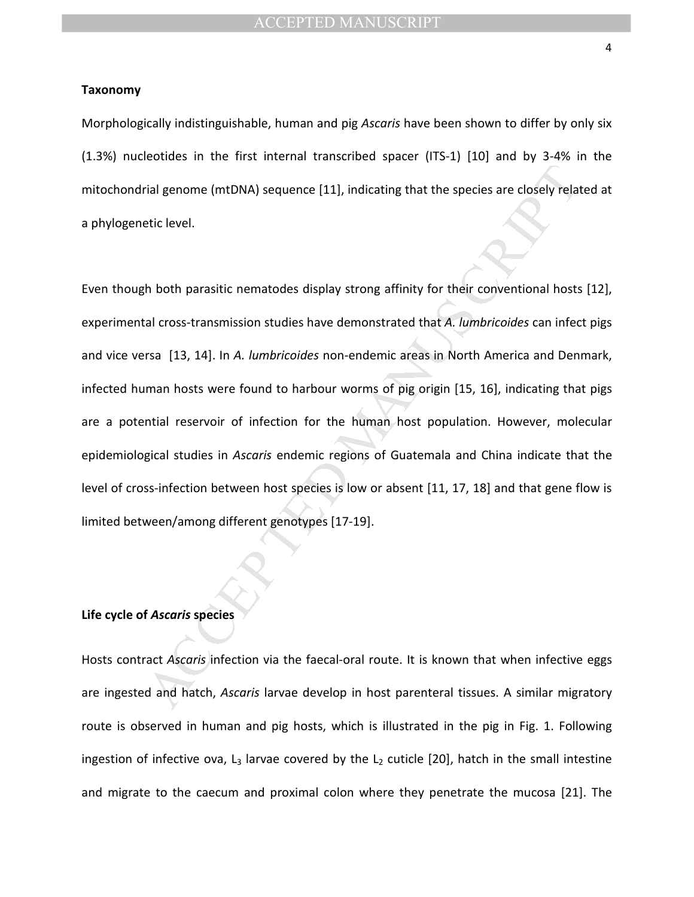#### **Taxonomy**

Morphologically indistinguishable, human and pig *Ascaris* have been shown to differ by only six (1.3%) nucleotides in the first internal transcribed spacer (ITS-1) [10] and by 3-4% in the mitochondrial genome (mtDNA) sequence [11], indicating that the species are closely related at a phylogenetic level.

rial genome (mtDNA) sequence [11], indicating that the species are closely relate<br>tic level.<br>
Ah both parasitic nematodes display strong affinity for their conventional hosts<br>
cal cross-transmission studies have demonstrat Even though both parasitic nematodes display strong affinity for their conventional hosts [12], experimental cross-transmission studies have demonstrated that *A. lumbricoides* can infect pigs and vice versa [13, 14]. In *A. lumbricoides* non-endemic areas in North America and Denmark, infected human hosts were found to harbour worms of pig origin [15, 16], indicating that pigs are a potential reservoir of infection for the human host population. However, molecular epidemiological studies in *Ascaris* endemic regions of Guatemala and China indicate that the level of cross-infection between host species is low or absent [11, 17, 18] and that gene flow is limited between/among different genotypes [17-19].

# **Life cycle of** *Ascaris* **species**

Hosts contract *Ascaris* infection via the faecal-oral route. It is known that when infective eggs are ingested and hatch, *Ascaris* larvae develop in host parenteral tissues. A similar migratory route is observed in human and pig hosts, which is illustrated in the pig in Fig. 1. Following ingestion of infective ova,  $L_3$  larvae covered by the  $L_2$  cuticle [20], hatch in the small intestine and migrate to the caecum and proximal colon where they penetrate the mucosa [21]. The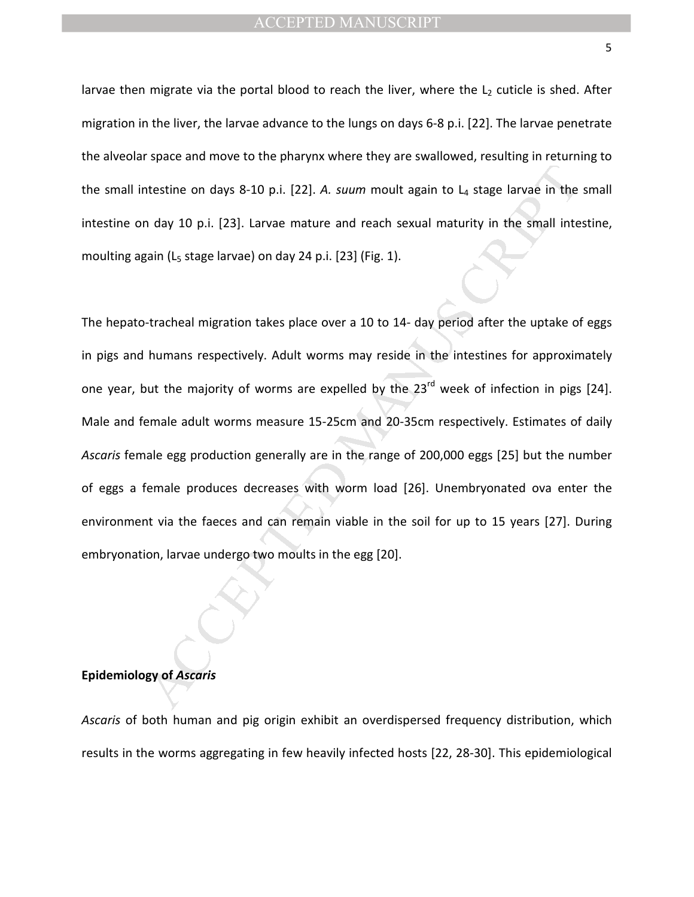larvae then migrate via the portal blood to reach the liver, where the  $L_2$  cuticle is shed. After migration in the liver, the larvae advance to the lungs on days 6-8 p.i. [22]. The larvae penetrate the alveolar space and move to the pharynx where they are swallowed, resulting in returning to the small intestine on days 8-10 p.i. [22]. A. suum moult again to L<sub>4</sub> stage larvae in the small intestine on day 10 p.i. [23]. Larvae mature and reach sexual maturity in the small intestine, moulting again (L<sub>5</sub> stage larvae) on day 24 p.i. [23] (Fig. 1).

the metals of a state and the state and the state and the state in the product at a state and text of p.i. [23]. Larvae mature and reach sexual maturity in the small inte gain (L<sub>s</sub> stage larvae) on day 24 p.i. [23] (Fig. The hepato-tracheal migration takes place over a 10 to 14- day period after the uptake of eggs in pigs and humans respectively. Adult worms may reside in the intestines for approximately one year, but the majority of worms are expelled by the 23<sup>rd</sup> week of infection in pigs [24]. Male and female adult worms measure 15-25cm and 20-35cm respectively. Estimates of daily *Ascaris* female egg production generally are in the range of 200,000 eggs [25] but the number of eggs a female produces decreases with worm load [26]. Unembryonated ova enter the environment via the faeces and can remain viable in the soil for up to 15 years [27]. During embryonation, larvae undergo two moults in the egg [20].

## **Epidemiology of** *Ascaris*

*Ascaris* of both human and pig origin exhibit an overdispersed frequency distribution, which results in the worms aggregating in few heavily infected hosts [22, 28-30]. This epidemiological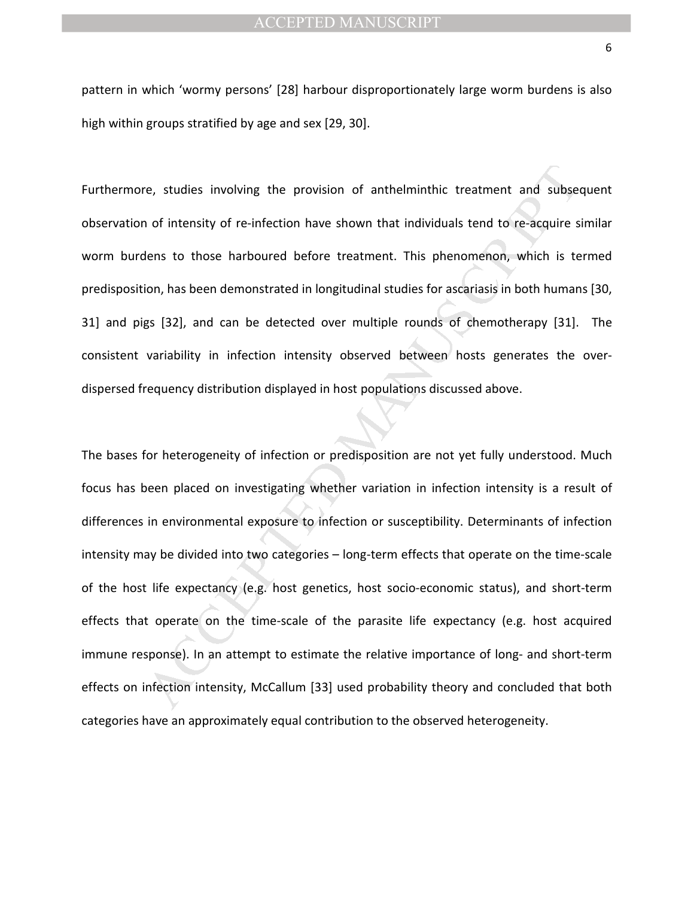pattern in which 'wormy persons' [28] harbour disproportionately large worm burdens is also high within groups stratified by age and sex [29, 30].

Furthermore, studies involving the provision of anthelminthic treatment and subsequent observation of intensity of re-infection have shown that individuals tend to re-acquire similar worm burdens to those harboured before treatment. This phenomenon, which is termed predisposition, has been demonstrated in longitudinal studies for ascariasis in both humans [30, 31] and pigs [32], and can be detected over multiple rounds of chemotherapy [31]. The consistent variability in infection intensity observed between hosts generates the overdispersed frequency distribution displayed in host populations discussed above.

re, studies involving the provision of anthelminthic treatment and subset of intensity of re-infection have shown that individuals tend to re-acquire s<br>lens to those harboured before treatment. This phenomenon, which is te The bases for heterogeneity of infection or predisposition are not yet fully understood. Much focus has been placed on investigating whether variation in infection intensity is a result of differences in environmental exposure to infection or susceptibility. Determinants of infection intensity may be divided into two categories – long-term effects that operate on the time-scale of the host life expectancy (e.g. host genetics, host socio-economic status), and short-term effects that operate on the time-scale of the parasite life expectancy (e.g. host acquired immune response). In an attempt to estimate the relative importance of long- and short-term effects on infection intensity, McCallum [33] used probability theory and concluded that both categories have an approximately equal contribution to the observed heterogeneity.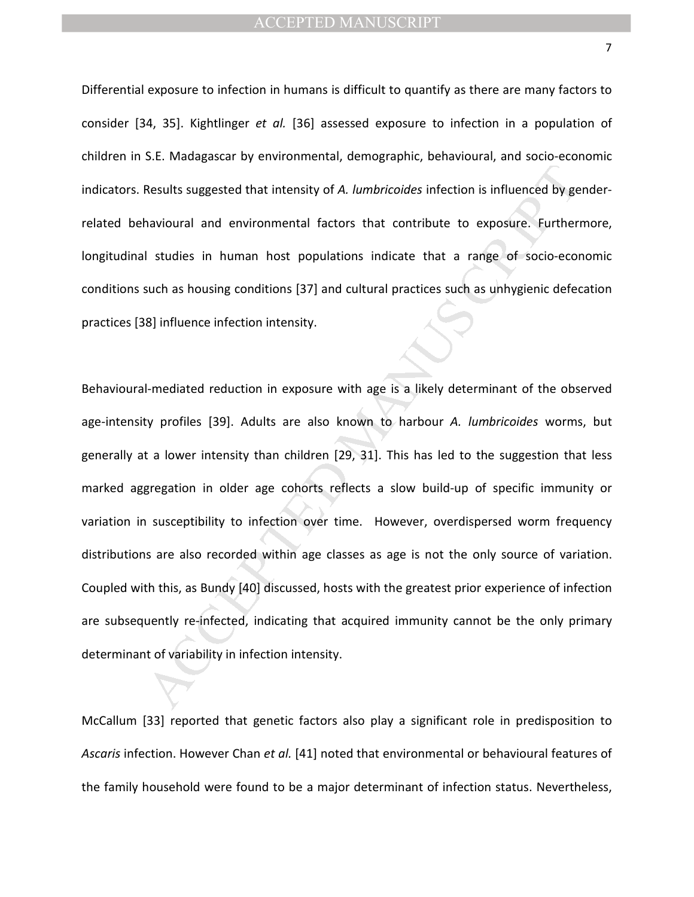Differential exposure to infection in humans is difficult to quantify as there are many factors to consider [34, 35]. Kightlinger *et al.* [36] assessed exposure to infection in a population of children in S.E. Madagascar by environmental, demographic, behavioural, and socio-economic indicators. Results suggested that intensity of *A. lumbricoides* infection is influenced by genderrelated behavioural and environmental factors that contribute to exposure. Furthermore, longitudinal studies in human host populations indicate that a range of socio-economic conditions such as housing conditions [37] and cultural practices such as unhygienic defecation practices [38] influence infection intensity.

Results suggested that intensity of *A. lumbricoides* infection is influenced by ge<br>havioural and environmental factors that contribute to exposure. Further<br>I studies in human host populations indicate that a range of soci Behavioural-mediated reduction in exposure with age is a likely determinant of the observed age-intensity profiles [39]. Adults are also known to harbour *A. lumbricoides* worms, but generally at a lower intensity than children [29, 31]. This has led to the suggestion that less marked aggregation in older age cohorts reflects a slow build-up of specific immunity or variation in susceptibility to infection over time. However, overdispersed worm frequency distributions are also recorded within age classes as age is not the only source of variation. Coupled with this, as Bundy [40] discussed, hosts with the greatest prior experience of infection are subsequently re-infected, indicating that acquired immunity cannot be the only primary determinant of variability in infection intensity.

McCallum [33] reported that genetic factors also play a significant role in predisposition to *Ascaris* infection. However Chan *et al.* [41] noted that environmental or behavioural features of the family household were found to be a major determinant of infection status. Nevertheless,

7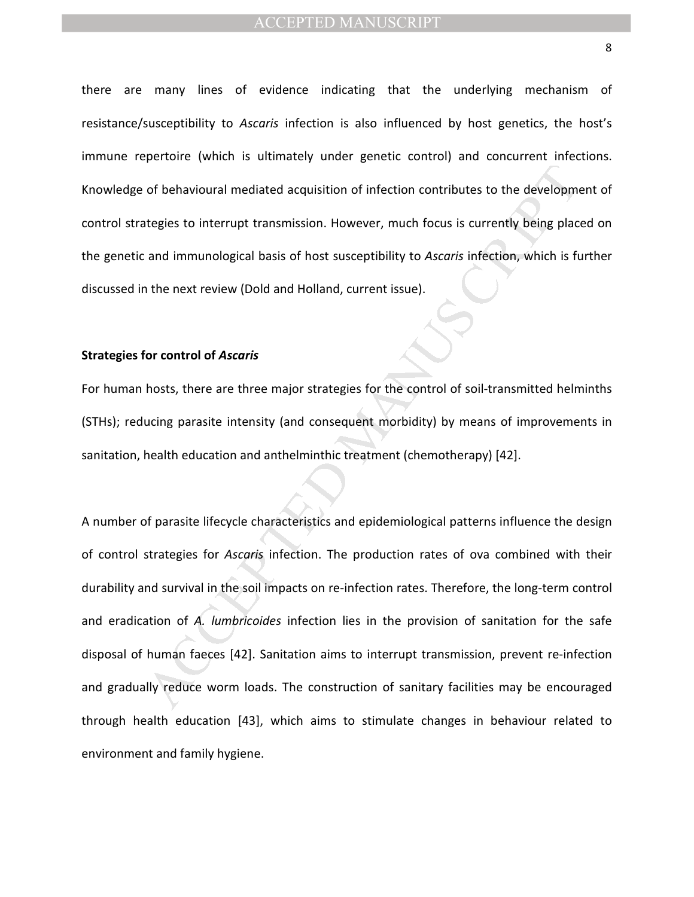there are many lines of evidence indicating that the underlying mechanism of resistance/susceptibility to *Ascaris* infection is also influenced by host genetics, the host's immune repertoire (which is ultimately under genetic control) and concurrent infections. Knowledge of behavioural mediated acquisition of infection contributes to the development of control strategies to interrupt transmission. However, much focus is currently being placed on the genetic and immunological basis of host susceptibility to *Ascaris* infection, which is further discussed in the next review (Dold and Holland, current issue).

# **Strategies for control of** *Ascaris*

For human hosts, there are three major strategies for the control of soil-transmitted helminths (STHs); reducing parasite intensity (and consequent morbidity) by means of improvements in sanitation, health education and anthelminthic treatment (chemotherapy) [42].

of behavioural mediated acquisition of infection contributes to the developmentegies to interrupt transmission. However, much focus is currently being place and immunological basis of host susceptibility to *Ascaris* infec A number of parasite lifecycle characteristics and epidemiological patterns influence the design of control strategies for *Ascaris* infection. The production rates of ova combined with their durability and survival in the soil impacts on re-infection rates. Therefore, the long-term control and eradication of *A. lumbricoides* infection lies in the provision of sanitation for the safe disposal of human faeces [42]. Sanitation aims to interrupt transmission, prevent re-infection and gradually reduce worm loads. The construction of sanitary facilities may be encouraged through health education [43], which aims to stimulate changes in behaviour related to environment and family hygiene.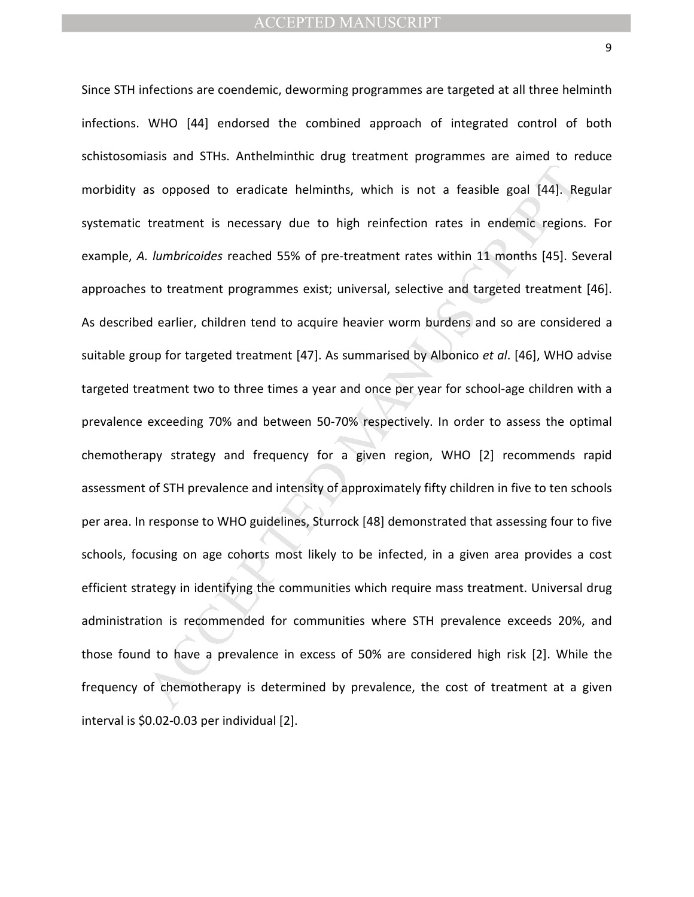as opposed to eradicate helminths, which is not a feasible goal [44]. Re<br>treatment is necessary due to high reinfection rates in endemic regions.<br>Lumbricoides reached 55% of pre-treatment rates within 11 months [45]. Se<br>to Since STH infections are coendemic, deworming programmes are targeted at all three helminth infections. WHO [44] endorsed the combined approach of integrated control of both schistosomiasis and STHs. Anthelminthic drug treatment programmes are aimed to reduce morbidity as opposed to eradicate helminths, which is not a feasible goal [44]. Regular systematic treatment is necessary due to high reinfection rates in endemic regions. For example, *A. lumbricoides* reached 55% of pre-treatment rates within 11 months [45]. Several approaches to treatment programmes exist; universal, selective and targeted treatment [46]. As described earlier, children tend to acquire heavier worm burdens and so are considered a suitable group for targeted treatment [47]. As summarised by Albonico *et al*. [46], WHO advise targeted treatment two to three times a year and once per year for school-age children with a prevalence exceeding 70% and between 50-70% respectively. In order to assess the optimal chemotherapy strategy and frequency for a given region, WHO [2] recommends rapid assessment of STH prevalence and intensity of approximately fifty children in five to ten schools per area. In response to WHO guidelines, Sturrock [48] demonstrated that assessing four to five schools, focusing on age cohorts most likely to be infected, in a given area provides a cost efficient strategy in identifying the communities which require mass treatment. Universal drug administration is recommended for communities where STH prevalence exceeds 20%, and those found to have a prevalence in excess of 50% are considered high risk [2]. While the frequency of chemotherapy is determined by prevalence, the cost of treatment at a given interval is \$0.02-0.03 per individual [2].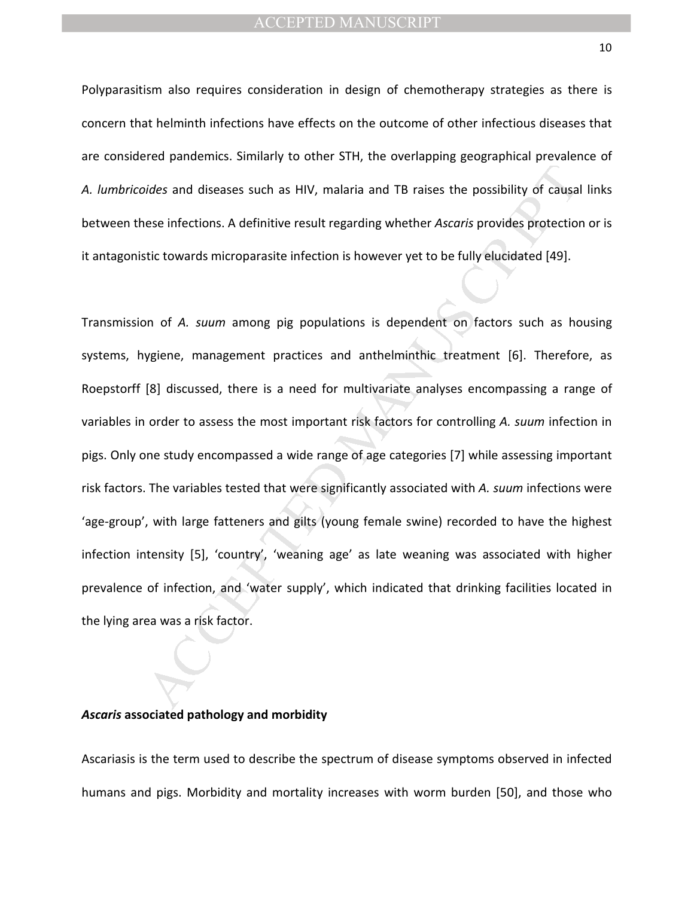Polyparasitism also requires consideration in design of chemotherapy strategies as there is concern that helminth infections have effects on the outcome of other infectious diseases that are considered pandemics. Similarly to other STH, the overlapping geographical prevalence of *A. lumbricoides* and diseases such as HIV, malaria and TB raises the possibility of causal links between these infections. A definitive result regarding whether *Ascaris* provides protection or is it antagonistic towards microparasite infection is however yet to be fully elucidated [49].

is idea, and diseases such as HIV, malaria and TB raises the possibility of causal<br>sese infections. A definitive result regarding whether Ascaris provides protection<br>stict towards microparasite infection is however yet to Transmission of *A. suum* among pig populations is dependent on factors such as housing systems, hygiene, management practices and anthelminthic treatment [6]. Therefore, as Roepstorff [8] discussed, there is a need for multivariate analyses encompassing a range of variables in order to assess the most important risk factors for controlling *A. suum* infection in pigs. Only one study encompassed a wide range of age categories [7] while assessing important risk factors. The variables tested that were significantly associated with *A. suum* infections were 'age-group', with large fatteners and gilts (young female swine) recorded to have the highest infection intensity [5], 'country', 'weaning age' as late weaning was associated with higher prevalence of infection, and 'water supply', which indicated that drinking facilities located in the lying area was a risk factor.

## *Ascaris* **associated pathology and morbidity**

Ascariasis is the term used to describe the spectrum of disease symptoms observed in infected humans and pigs. Morbidity and mortality increases with worm burden [50], and those who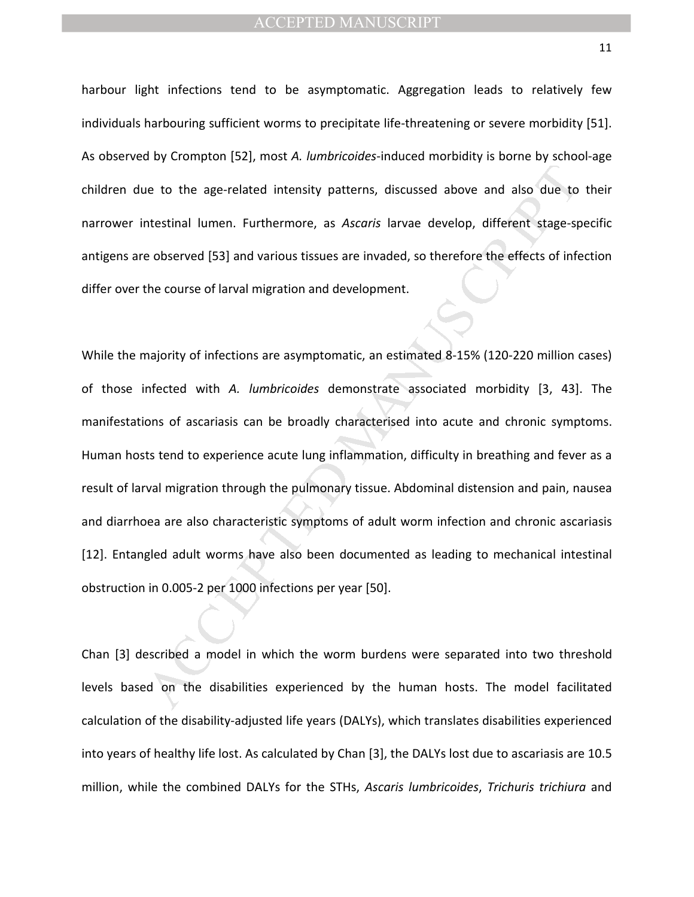harbour light infections tend to be asymptomatic. Aggregation leads to relatively few individuals harbouring sufficient worms to precipitate life-threatening or severe morbidity [51]. As observed by Crompton [52], most *A. lumbricoides*-induced morbidity is borne by school-age children due to the age-related intensity patterns, discussed above and also due to their narrower intestinal lumen. Furthermore, as *Ascaris* larvae develop, different stage-specific antigens are observed [53] and various tissues are invaded, so therefore the effects of infection differ over the course of larval migration and development.

ie to the age-related intensity patterns, discussed above and also due to<br>ntestinal lumen. Furthermore, as *Ascaris* larvae develop, different stage-sp<br>e observed [53] and various tissues are invaded, so therefore the effe While the majority of infections are asymptomatic, an estimated 8-15% (120-220 million cases) of those infected with *A. lumbricoides* demonstrate associated morbidity [3, 43]. The manifestations of ascariasis can be broadly characterised into acute and chronic symptoms. Human hosts tend to experience acute lung inflammation, difficulty in breathing and fever as a result of larval migration through the pulmonary tissue. Abdominal distension and pain, nausea and diarrhoea are also characteristic symptoms of adult worm infection and chronic ascariasis [12]. Entangled adult worms have also been documented as leading to mechanical intestinal obstruction in 0.005-2 per 1000 infections per year [50].

Chan [3] described a model in which the worm burdens were separated into two threshold levels based on the disabilities experienced by the human hosts. The model facilitated calculation of the disability-adjusted life years (DALYs), which translates disabilities experienced into years of healthy life lost. As calculated by Chan [3], the DALYs lost due to ascariasis are 10.5 million, while the combined DALYs for the STHs, *Ascaris lumbricoides*, *Trichuris trichiura* and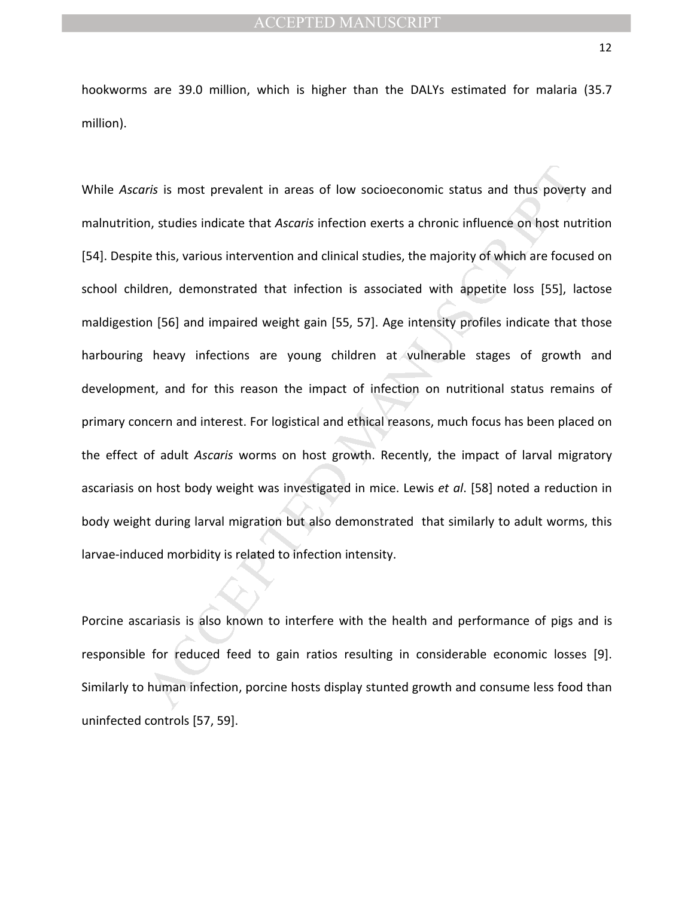hookworms are 39.0 million, which is higher than the DALYs estimated for malaria (35.7 million).

ris is most prevalent in areas of low socioeconomic status and thus povert<br>
n, studies indicate that Ascaris infection exerts a chronic influence on host nut<br>
te this, various intervention and clinical studies, the majorit While *Ascaris* is most prevalent in areas of low socioeconomic status and thus poverty and malnutrition, studies indicate that *Ascaris* infection exerts a chronic influence on host nutrition [54]. Despite this, various intervention and clinical studies, the majority of which are focused on school children, demonstrated that infection is associated with appetite loss [55], lactose maldigestion [56] and impaired weight gain [55, 57]. Age intensity profiles indicate that those harbouring heavy infections are young children at vulnerable stages of growth and development, and for this reason the impact of infection on nutritional status remains of primary concern and interest. For logistical and ethical reasons, much focus has been placed on the effect of adult *Ascaris* worms on host growth. Recently, the impact of larval migratory ascariasis on host body weight was investigated in mice. Lewis *et al*. [58] noted a reduction in body weight during larval migration but also demonstrated that similarly to adult worms, this larvae-induced morbidity is related to infection intensity.

Porcine ascariasis is also known to interfere with the health and performance of pigs and is responsible for reduced feed to gain ratios resulting in considerable economic losses [9]. Similarly to human infection, porcine hosts display stunted growth and consume less food than uninfected controls [57, 59].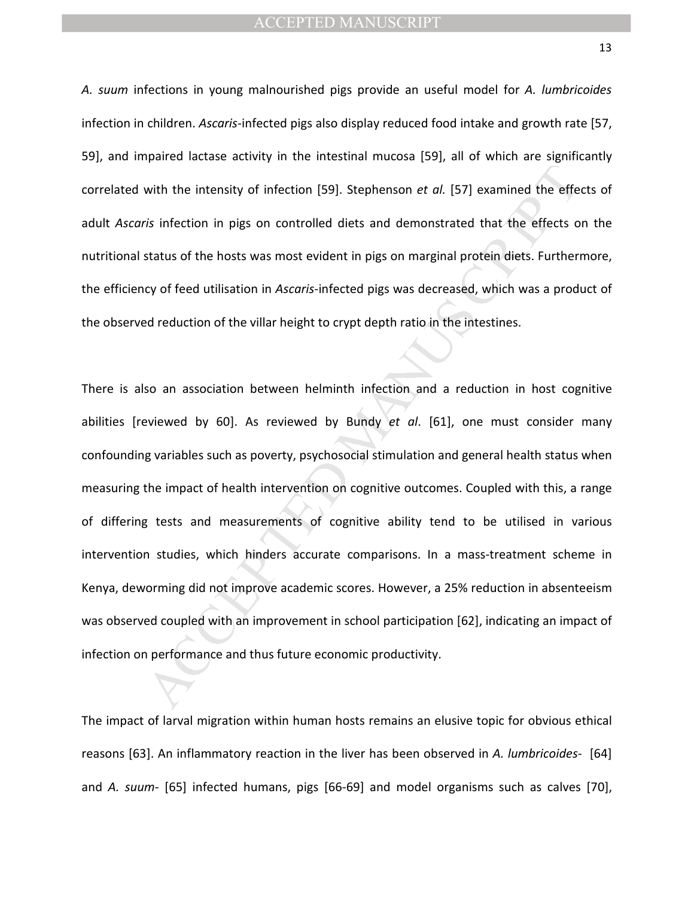*A. suum* infections in young malnourished pigs provide an useful model for *A. lumbricoides* infection in children. *Ascaris*-infected pigs also display reduced food intake and growth rate [57, 59], and impaired lactase activity in the intestinal mucosa [59], all of which are significantly correlated with the intensity of infection [59]. Stephenson *et al.* [57] examined the effects of adult *Ascaris* infection in pigs on controlled diets and demonstrated that the effects on the nutritional status of the hosts was most evident in pigs on marginal protein diets. Furthermore, the efficiency of feed utilisation in *Ascaris-*infected pigs was decreased, which was a product of the observed reduction of the villar height to crypt depth ratio in the intestines.

with the intensity of infection [59]. Stephenson *et al.* [57] examined the efferts infection in pigs on controlled diets and demonstrated that the effects of status of the hosts was most evident in pigs on marginal prote There is also an association between helminth infection and a reduction in host cognitive abilities [reviewed by 60]. As reviewed by Bundy *et al*. [61], one must consider many confounding variables such as poverty, psychosocial stimulation and general health status when measuring the impact of health intervention on cognitive outcomes. Coupled with this, a range of differing tests and measurements of cognitive ability tend to be utilised in various intervention studies, which hinders accurate comparisons. In a mass-treatment scheme in Kenya, deworming did not improve academic scores. However, a 25% reduction in absenteeism was observed coupled with an improvement in school participation [62], indicating an impact of infection on performance and thus future economic productivity.

The impact of larval migration within human hosts remains an elusive topic for obvious ethical reasons [63]. An inflammatory reaction in the liver has been observed in *A. lumbricoides*- [64] and *A. suum*- [65] infected humans, pigs [66-69] and model organisms such as calves [70],

13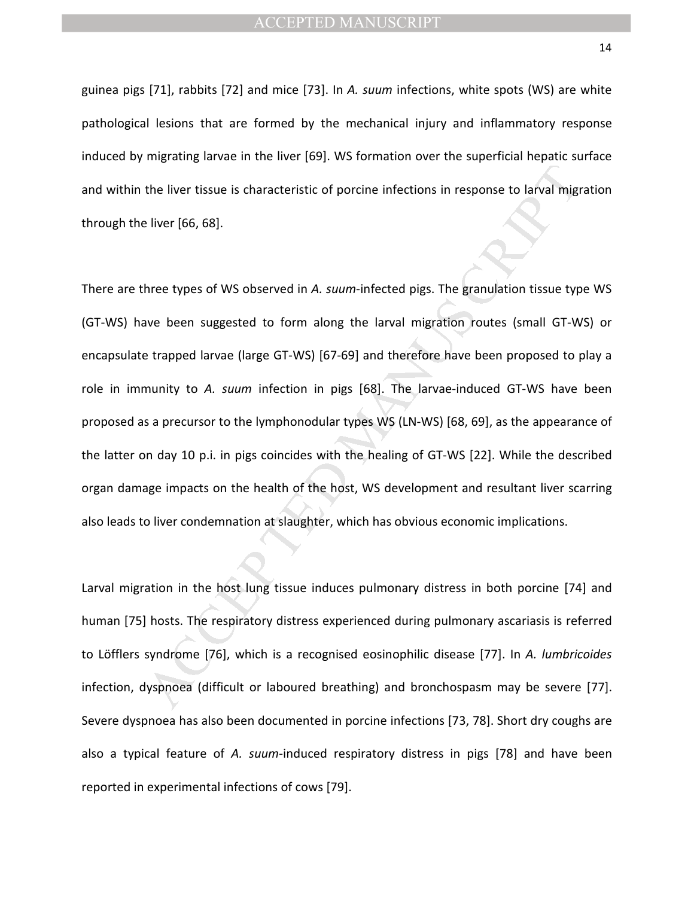guinea pigs [71], rabbits [72] and mice [73]. In *A. suum* infections, white spots (WS) are white pathological lesions that are formed by the mechanical injury and inflammatory response induced by migrating larvae in the liver [69]. WS formation over the superficial hepatic surface and within the liver tissue is characteristic of porcine infections in response to larval migration through the liver [66, 68].

the liver tissue is characteristic of porcine infections in response to larval mign<br>
liver (66, 68).<br>
Inverted the solution of the solution of the symplectic of production of the symplectic discussion<br>
three types of WS ob There are three types of WS observed in *A. suum*-infected pigs. The granulation tissue type WS (GT-WS) have been suggested to form along the larval migration routes (small GT-WS) or encapsulate trapped larvae (large GT-WS) [67-69] and therefore have been proposed to play a role in immunity to *A. suum* infection in pigs [68]. The larvae-induced GT-WS have been proposed as a precursor to the lymphonodular types WS (LN-WS) [68, 69], as the appearance of the latter on day 10 p.i. in pigs coincides with the healing of GT-WS [22]. While the described organ damage impacts on the health of the host, WS development and resultant liver scarring also leads to liver condemnation at slaughter, which has obvious economic implications.

Larval migration in the host lung tissue induces pulmonary distress in both porcine [74] and human [75] hosts. The respiratory distress experienced during pulmonary ascariasis is referred to Löfflers syndrome [76], which is a recognised eosinophilic disease [77]. In *A. lumbricoides*  infection, dyspnoea (difficult or laboured breathing) and bronchospasm may be severe [77]. Severe dyspnoea has also been documented in porcine infections [73, 78]. Short dry coughs are also a typical feature of *A. suum-*induced respiratory distress in pigs [78] and have been reported in experimental infections of cows [79].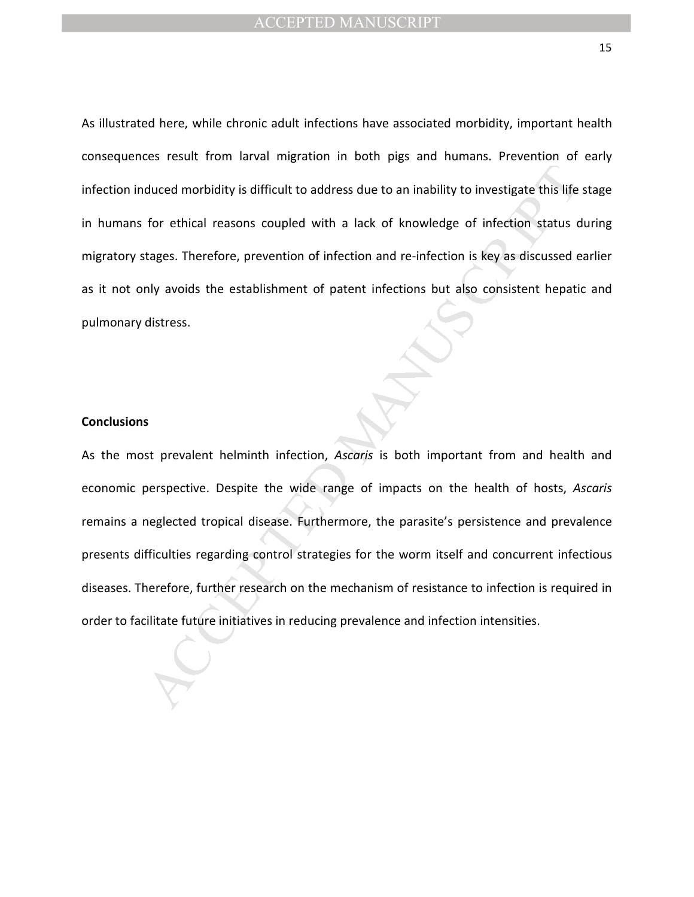As illustrated here, while chronic adult infections have associated morbidity, important health consequences result from larval migration in both pigs and humans. Prevention of early infection induced morbidity is difficult to address due to an inability to investigate this life stage in humans for ethical reasons coupled with a lack of knowledge of infection status during migratory stages. Therefore, prevention of infection and re-infection is key as discussed earlier as it not only avoids the establishment of patent infections but also consistent hepatic and pulmonary distress.

#### **Conclusions**

duced morbidity is difficult to address due to an inability to investigate this life<br>for ethical reasons coupled with a lack of knowledge of infection status c<br>tages. Therefore, prevention of infection and re-infection is As the most prevalent helminth infection, *Ascaris* is both important from and health and economic perspective. Despite the wide range of impacts on the health of hosts, *Ascaris* remains a neglected tropical disease. Furthermore, the parasite's persistence and prevalence presents difficulties regarding control strategies for the worm itself and concurrent infectious diseases. Therefore, further research on the mechanism of resistance to infection is required in order to facilitate future initiatives in reducing prevalence and infection intensities.

15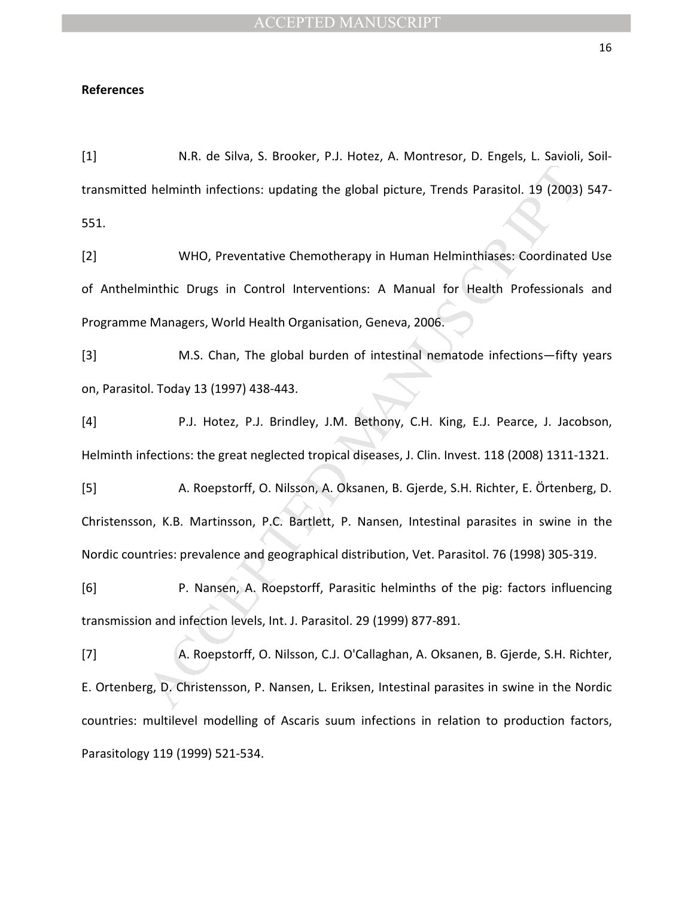# **References**

[1] N.R. de Silva, S. Brooker, P.J. Hotez, A. Montresor, D. Engels, L. Savioli, Soiltransmitted helminth infections: updating the global picture, Trends Parasitol. 19 (2003) 547- 551.

I helminth infections: updating the global picture, Trends Parasitol. 19 (2003)<br>
WHO, Preventative Chemotherapy in Human Helminthlases: Coordinate<br>
inithic Drugs in Control Interventions: A Manual for Health Professionals<br> [2] WHO, Preventative Chemotherapy in Human Helminthiases: Coordinated Use of Anthelminthic Drugs in Control Interventions: A Manual for Health Professionals and Programme Managers, World Health Organisation, Geneva, 2006.

[3] M.S. Chan, The global burden of intestinal nematode infections—fifty years on, Parasitol. Today 13 (1997) 438-443.

[4] P.J. Hotez, P.J. Brindley, J.M. Bethony, C.H. King, E.J. Pearce, J. Jacobson, Helminth infections: the great neglected tropical diseases, J. Clin. Invest. 118 (2008) 1311-1321.

[5] A. Roepstorff, O. Nilsson, A. Oksanen, B. Gjerde, S.H. Richter, E. Örtenberg, D. Christensson, K.B. Martinsson, P.C. Bartlett, P. Nansen, Intestinal parasites in swine in the Nordic countries: prevalence and geographical distribution, Vet. Parasitol. 76 (1998) 305-319.

[6] P. Nansen, A. Roepstorff, Parasitic helminths of the pig: factors influencing transmission and infection levels, Int. J. Parasitol. 29 (1999) 877-891.

[7] A. Roepstorff, O. Nilsson, C.J. O'Callaghan, A. Oksanen, B. Gjerde, S.H. Richter, E. Ortenberg, D. Christensson, P. Nansen, L. Eriksen, Intestinal parasites in swine in the Nordic countries: multilevel modelling of Ascaris suum infections in relation to production factors, Parasitology 119 (1999) 521-534.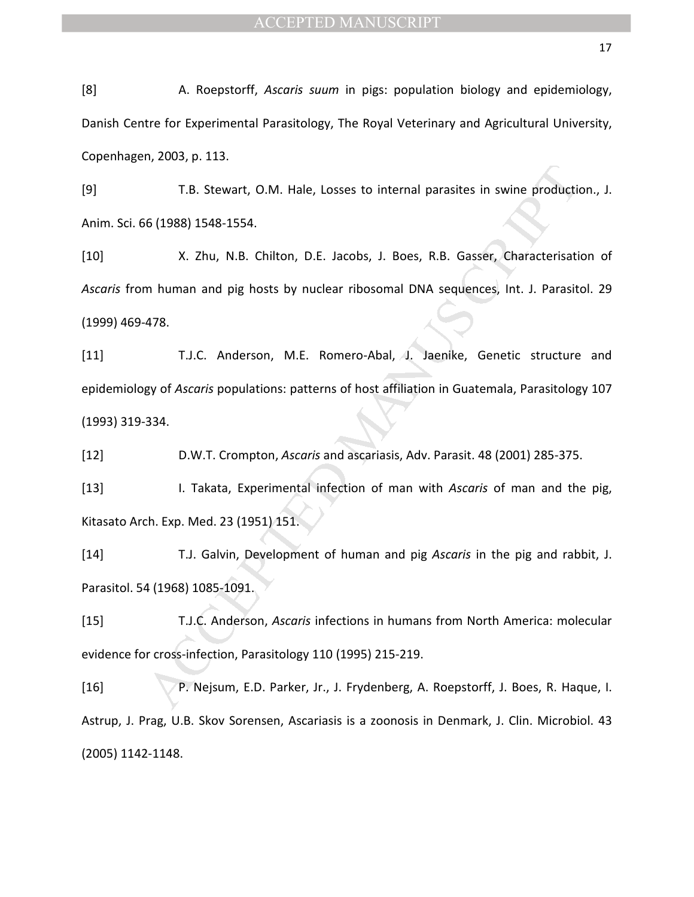[8] A. Roepstorff, *Ascaris suum* in pigs: population biology and epidemiology, Danish Centre for Experimental Parasitology, The Royal Veterinary and Agricultural University, Copenhagen, 2003, p. 113.

[9] T.B. Stewart, O.M. Hale, Losses to internal parasites in swine production., J. Anim. Sci. 66 (1988) 1548-1554.

[10] X. Zhu, N.B. Chilton, D.E. Jacobs, J. Boes, R.B. Gasser, Characterisation of *Ascaris* from human and pig hosts by nuclear ribosomal DNA sequences, Int. J. Parasitol. 29 (1999) 469-478.

T.B. Stewart, O.M. Hale, Losses to internal parasites in swine production<br>
is (1988) 1548-1554.<br>
X. Zhu, N.B. Chilton, D.E. Jacobs, J. Boes, R.B. Gasser, Characterisati<br>
m human and pig hosts by nuclear ribosomal DNA seque [11] T.J.C. Anderson, M.E. Romero-Abal, J. Jaenike, Genetic structure and epidemiology of *Ascaris* populations: patterns of host affiliation in Guatemala, Parasitology 107 (1993) 319-334.

[12] D.W.T. Crompton, *Ascaris* and ascariasis, Adv. Parasit. 48 (2001) 285-375.

[13] I. Takata, Experimental infection of man with *Ascaris* of man and the pig, Kitasato Arch. Exp. Med. 23 (1951) 151.

[14] T.J. Galvin, Development of human and pig *Ascaris* in the pig and rabbit, J. Parasitol. 54 (1968) 1085-1091.

[15] T.J.C. Anderson, *Ascaris* infections in humans from North America: molecular evidence for cross-infection, Parasitology 110 (1995) 215-219.

[16] P. Nejsum, E.D. Parker, Jr., J. Frydenberg, A. Roepstorff, J. Boes, R. Haque, I. Astrup, J. Prag, U.B. Skov Sorensen, Ascariasis is a zoonosis in Denmark, J. Clin. Microbiol. 43 (2005) 1142-1148.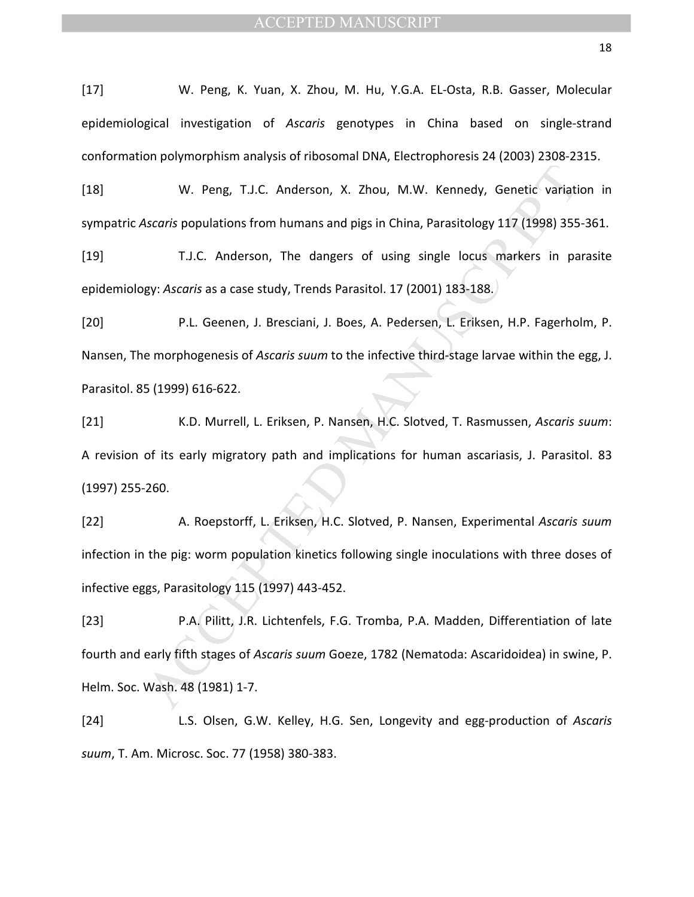[17] W. Peng, K. Yuan, X. Zhou, M. Hu, Y.G.A. EL-Osta, R.B. Gasser, Molecular epidemiological investigation of *Ascaris* genotypes in China based on single-strand conformation polymorphism analysis of ribosomal DNA, Electrophoresis 24 (2003) 2308-2315.

[18] W. Peng, T.J.C. Anderson, X. Zhou, M.W. Kennedy, Genetic variation in sympatric *Ascaris* populations from humans and pigs in China, Parasitology 117 (1998) 355-361.

[19] T.J.C. Anderson, The dangers of using single locus markers in parasite epidemiology: *Ascaris* as a case study, Trends Parasitol. 17 (2001) 183-188.

W. Peng, T.J.C. Anderson, X. Zhou, M.W. Kennedy, Genetic variation<br>Scarris populations from humans and pigs in China, Parasitology 117 (1998) 355<br>T.J.C. Anderson, The dangers of using single locus markers in pagy: Ascarris [20] P.L. Geenen, J. Bresciani, J. Boes, A. Pedersen, L. Eriksen, H.P. Fagerholm, P. Nansen, The morphogenesis of *Ascaris suum* to the infective third-stage larvae within the egg, J. Parasitol. 85 (1999) 616-622.

[21] K.D. Murrell, L. Eriksen, P. Nansen, H.C. Slotved, T. Rasmussen, *Ascaris suum*: A revision of its early migratory path and implications for human ascariasis, J. Parasitol. 83 (1997) 255-260.

[22] A. Roepstorff, L. Eriksen, H.C. Slotved, P. Nansen, Experimental *Ascaris suum* infection in the pig: worm population kinetics following single inoculations with three doses of infective eggs, Parasitology 115 (1997) 443-452.

[23] P.A. Pilitt, J.R. Lichtenfels, F.G. Tromba, P.A. Madden, Differentiation of late fourth and early fifth stages of *Ascaris suum* Goeze, 1782 (Nematoda: Ascaridoidea) in swine, P. Helm. Soc. Wash. 48 (1981) 1-7.

[24] L.S. Olsen, G.W. Kelley, H.G. Sen, Longevity and egg-production of *Ascaris suum*, T. Am. Microsc. Soc. 77 (1958) 380-383.

18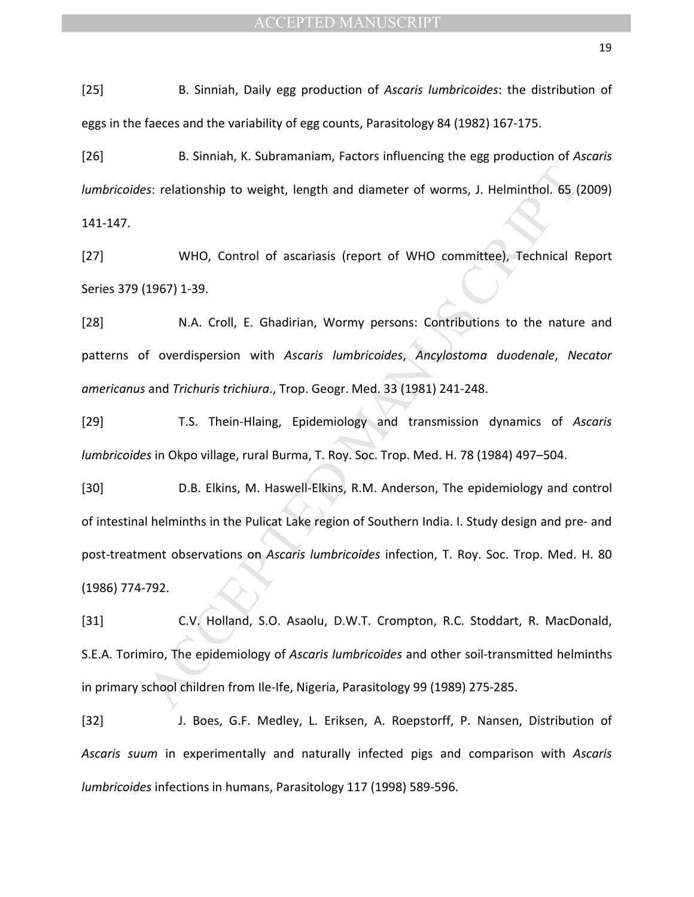[25] B. Sinniah, Daily egg production of *Ascaris lumbricoides*: the distribution of eggs in the faeces and the variability of egg counts, Parasitology 84 (1982) 167-175.

[26] B. Sinniah, K. Subramaniam, Factors influencing the egg production of *Ascaris lumbricoides*: relationship to weight, length and diameter of worms, J. Helminthol. 65 (2009) 141-147.

[27] WHO, Control of ascariasis (report of WHO committee), Technical Report Series 379 (1967) 1-39.

[28] N.A. Croll, E. Ghadirian, Wormy persons: Contributions to the nature and patterns of overdispersion with *Ascaris lumbricoides*, *Ancylostoma duodenale*, *Necator americanus* and *Trichuris trichiura*., Trop. Geogr. Med. 33 (1981) 241-248.

[29] T.S. Thein-Hlaing, Epidemiology and transmission dynamics of *Ascaris lumbricoides* in Okpo village, rural Burma, T. Roy. Soc. Trop. Med. H. 78 (1984) 497–504.

es: relationship to weight, length and diameter of worms, J. Helminthol. 65 (<br>WHO, Control of ascariasis (report of WHO committee), Technical R<br>1967) 1-39.<br>N.A. Croll, E. Ghadirian, Wormy persons: Contributions to the natu [30] D.B. Elkins, M. Haswell-Elkins, R.M. Anderson, The epidemiology and control of intestinal helminths in the Pulicat Lake region of Southern India. I. Study design and pre- and post-treatment observations on *Ascaris lumbricoides* infection, T. Roy. Soc. Trop. Med. H. 80 (1986) 774-792.

[31] C.V. Holland, S.O. Asaolu, D.W.T. Crompton, R.C. Stoddart, R. MacDonald, S.E.A. Torimiro, The epidemiology of *Ascaris lumbricoides* and other soil-transmitted helminths in primary school children from Ile-Ife, Nigeria, Parasitology 99 (1989) 275-285.

[32] J. Boes, G.F. Medley, L. Eriksen, A. Roepstorff, P. Nansen, Distribution of *Ascaris suum* in experimentally and naturally infected pigs and comparison with *Ascaris lumbricoides* infections in humans, Parasitology 117 (1998) 589-596.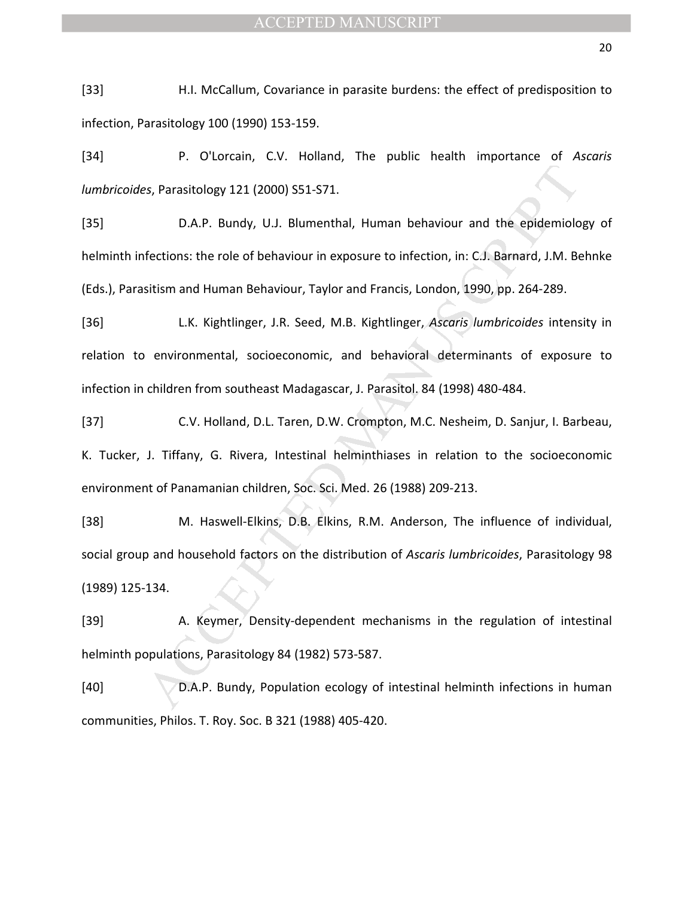[33] H.I. McCallum, Covariance in parasite burdens: the effect of predisposition to infection, Parasitology 100 (1990) 153-159.

[34] P. O'Lorcain, C.V. Holland, The public health importance of *Ascaris lumbricoides*, Parasitology 121 (2000) S51-S71.

[35] D.A.P. Bundy, U.J. Blumenthal, Human behaviour and the epidemiology of helminth infections: the role of behaviour in exposure to infection, in: C.J. Barnard, J.M. Behnke (Eds.), Parasitism and Human Behaviour, Taylor and Francis, London, 1990, pp. 264-289.

extransitology 121 (2000) S51-S71.<br>
D.A.P. Bundy, U.J. Blumenthal, Human behaviour and the epidemiolofections: the role of behaviour in exposure to infection, in: C.J. Barnard, J.M. Basitism and Human Behaviour, Taylor and [36] L.K. Kightlinger, J.R. Seed, M.B. Kightlinger, *Ascaris lumbricoides* intensity in relation to environmental, socioeconomic, and behavioral determinants of exposure to infection in children from southeast Madagascar, J. Parasitol. 84 (1998) 480-484.

[37] C.V. Holland, D.L. Taren, D.W. Crompton, M.C. Nesheim, D. Sanjur, I. Barbeau, K. Tucker, J. Tiffany, G. Rivera, Intestinal helminthiases in relation to the socioeconomic environment of Panamanian children, Soc. Sci. Med. 26 (1988) 209-213.

[38] M. Haswell-Elkins, D.B. Elkins, R.M. Anderson, The influence of individual, social group and household factors on the distribution of *Ascaris lumbricoides*, Parasitology 98 (1989) 125-134.

[39] A. Keymer, Density-dependent mechanisms in the regulation of intestinal helminth populations, Parasitology 84 (1982) 573-587.

[40] D.A.P. Bundy, Population ecology of intestinal helminth infections in human communities, Philos. T. Roy. Soc. B 321 (1988) 405-420.

20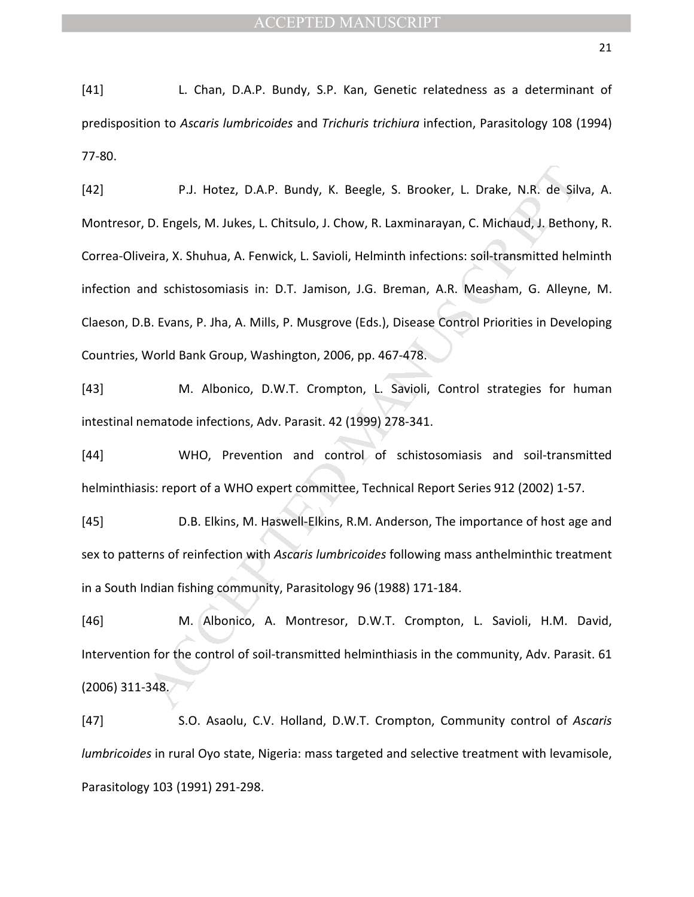[41] L. Chan, D.A.P. Bundy, S.P. Kan, Genetic relatedness as a determinant of predisposition to *Ascaris lumbricoides* and *Trichuris trichiura* infection, Parasitology 108 (1994) 77-80.

P.J. Hotez, D.A.P. Bundy, K. Beegle, S. Brooker, L. Drake, N.R. de Sili<br>
D. Engels, M. Jukes, L. Chitsulo, J. Chow, R. Laxminarayan, C. Michaud, J. Betho<br>
eira, X. Shuhua, A. Fenwick, L. Savioli, Helminth infections: soil-[42] P.J. Hotez, D.A.P. Bundy, K. Beegle, S. Brooker, L. Drake, N.R. de Silva, A. Montresor, D. Engels, M. Jukes, L. Chitsulo, J. Chow, R. Laxminarayan, C. Michaud, J. Bethony, R. Correa-Oliveira, X. Shuhua, A. Fenwick, L. Savioli, Helminth infections: soil-transmitted helminth infection and schistosomiasis in: D.T. Jamison, J.G. Breman, A.R. Measham, G. Alleyne, M. Claeson, D.B. Evans, P. Jha, A. Mills, P. Musgrove (Eds.), Disease Control Priorities in Developing Countries, World Bank Group, Washington, 2006, pp. 467-478.

[43] M. Albonico, D.W.T. Crompton, L. Savioli, Control strategies for human intestinal nematode infections, Adv. Parasit. 42 (1999) 278-341.

[44] WHO, Prevention and control of schistosomiasis and soil-transmitted helminthiasis: report of a WHO expert committee, Technical Report Series 912 (2002) 1-57.

[45] D.B. Elkins, M. Haswell-Elkins, R.M. Anderson, The importance of host age and sex to patterns of reinfection with *Ascaris lumbricoides* following mass anthelminthic treatment in a South Indian fishing community, Parasitology 96 (1988) 171-184.

[46] M. Albonico, A. Montresor, D.W.T. Crompton, L. Savioli, H.M. David, Intervention for the control of soil-transmitted helminthiasis in the community, Adv. Parasit. 61 (2006) 311-348.

[47] S.O. Asaolu, C.V. Holland, D.W.T. Crompton, Community control of *Ascaris lumbricoides* in rural Oyo state, Nigeria: mass targeted and selective treatment with levamisole, Parasitology 103 (1991) 291-298.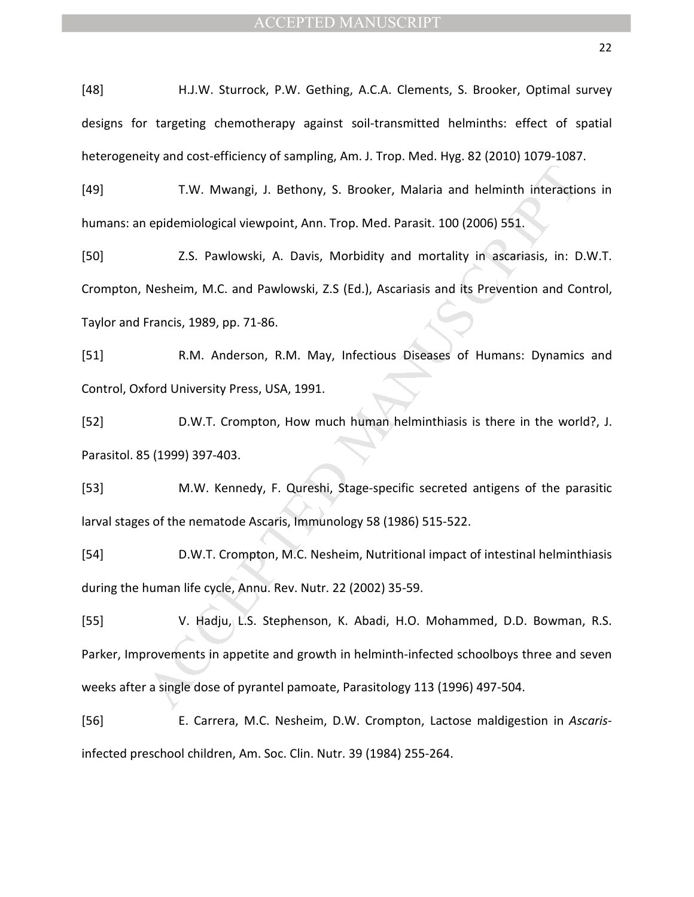[48] H.J.W. Sturrock, P.W. Gething, A.C.A. Clements, S. Brooker, Optimal survey designs for targeting chemotherapy against soil-transmitted helminths: effect of spatial heterogeneity and cost-efficiency of sampling, Am. J. Trop. Med. Hyg. 82 (2010) 1079-1087.

[49] T.W. Mwangi, J. Bethony, S. Brooker, Malaria and helminth interactions in humans: an epidemiological viewpoint, Ann. Trop. Med. Parasit. 100 (2006) 551.

[50] Z.S. Pawlowski, A. Davis, Morbidity and mortality in ascariasis, in: D.W.T. Crompton, Nesheim, M.C. and Pawlowski, Z.S (Ed.), Ascariasis and its Prevention and Control, Taylor and Francis, 1989, pp. 71-86.

[51] R.M. Anderson, R.M. May, Infectious Diseases of Humans: Dynamics and Control, Oxford University Press, USA, 1991.

[52] D.W.T. Crompton, How much human helminthiasis is there in the world?, J. Parasitol. 85 (1999) 397-403.

[53] M.W. Kennedy, F. Qureshi, Stage-specific secreted antigens of the parasitic larval stages of the nematode Ascaris, Immunology 58 (1986) 515-522.

[54] D.W.T. Crompton, M.C. Nesheim, Nutritional impact of intestinal helminthiasis during the human life cycle, Annu. Rev. Nutr. 22 (2002) 35-59.

T.W. Mwangi, J. Bethony, S. Brooker, Malaria and helminth interactic<br>
epidemiological viewpoint, Ann. Trop. Med. Parasit. 100 (2006) 551.<br>
2.5. Pawlowski, A. Davis, Morbidity and mortality in ascariasis, in: D<br>
Nesheim, M. [55] V. Hadju, L.S. Stephenson, K. Abadi, H.O. Mohammed, D.D. Bowman, R.S. Parker, Improvements in appetite and growth in helminth-infected schoolboys three and seven weeks after a single dose of pyrantel pamoate, Parasitology 113 (1996) 497-504.

[56] E. Carrera, M.C. Nesheim, D.W. Crompton, Lactose maldigestion in *Ascaris*infected preschool children, Am. Soc. Clin. Nutr. 39 (1984) 255-264.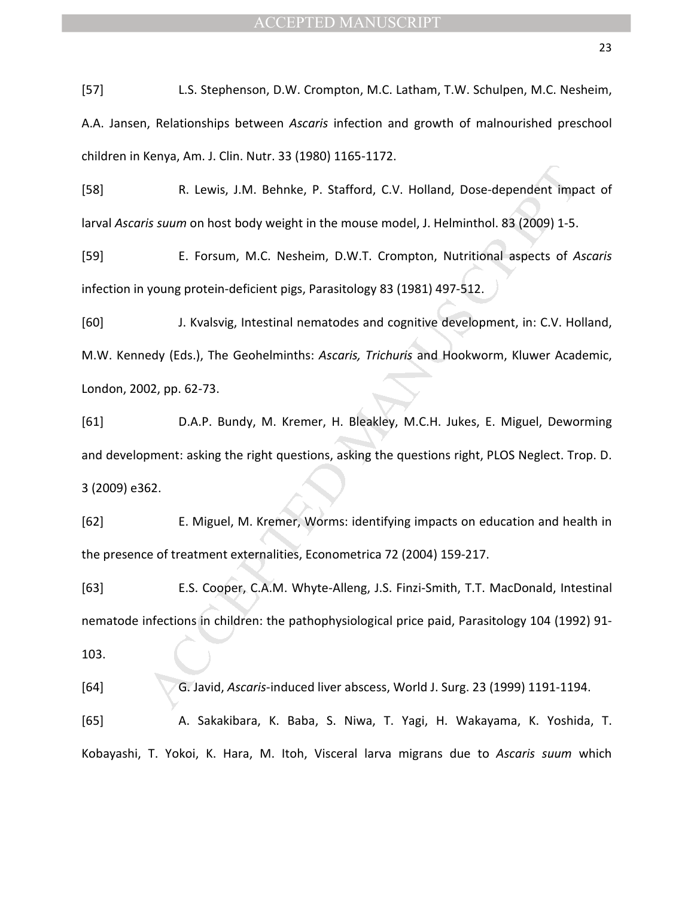[57] L.S. Stephenson, D.W. Crompton, M.C. Latham, T.W. Schulpen, M.C. Nesheim, A.A. Jansen, Relationships between *Ascaris* infection and growth of malnourished preschool children in Kenya, Am. J. Clin. Nutr. 33 (1980) 1165-1172.

[58] R. Lewis, J.M. Behnke, P. Stafford, C.V. Holland, Dose-dependent impact of larval *Ascaris suum* on host body weight in the mouse model, J. Helminthol. 83 (2009) 1-5.

[59] E. Forsum, M.C. Nesheim, D.W.T. Crompton, Nutritional aspects of *Ascaris* infection in young protein-deficient pigs, Parasitology 83 (1981) 497-512.

R. Lewis, J.M. Behnke, P. Stafford, C.V. Holland, Dose-dependent impactions.<br>
18 suum on host body weight in the mouse model, J. Helminthol. 83 (2009) 1-5.<br>
E. Forsum, M.C. Nesheim, D.W.T. Crompton, Nutritional aspects of [60] J. Kvalsvig, Intestinal nematodes and cognitive development, in: C.V. Holland, M.W. Kennedy (Eds.), The Geohelminths: *Ascaris, Trichuris* and Hookworm, Kluwer Academic, London, 2002, pp. 62-73.

[61] D.A.P. Bundy, M. Kremer, H. Bleakley, M.C.H. Jukes, E. Miguel, Deworming and development: asking the right questions, asking the questions right, PLOS Neglect. Trop. D. 3 (2009) e362.

[62] E. Miguel, M. Kremer, Worms: identifying impacts on education and health in the presence of treatment externalities, Econometrica 72 (2004) 159-217.

[63] E.S. Cooper, C.A.M. Whyte-Alleng, J.S. Finzi-Smith, T.T. MacDonald, Intestinal nematode infections in children: the pathophysiological price paid, Parasitology 104 (1992) 91- 103.

[64] G. Javid, *Ascaris*-induced liver abscess, World J. Surg. 23 (1999) 1191-1194. [65] A. Sakakibara, K. Baba, S. Niwa, T. Yagi, H. Wakayama, K. Yoshida, T.

Kobayashi, T. Yokoi, K. Hara, M. Itoh, Visceral larva migrans due to *Ascaris suum* which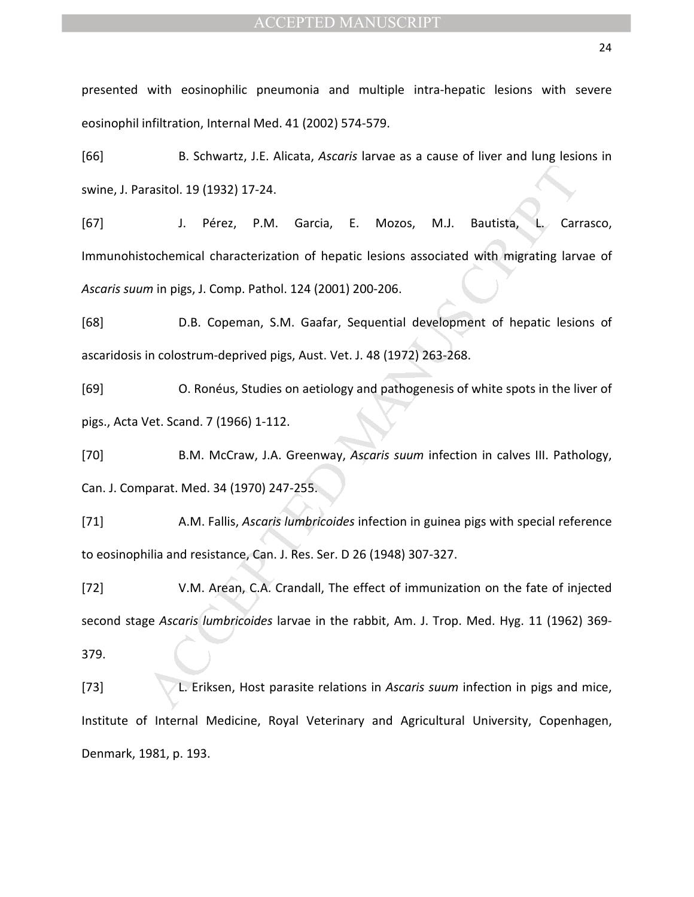presented with eosinophilic pneumonia and multiple intra-hepatic lesions with severe eosinophil infiltration, Internal Med. 41 (2002) 574-579.

[66] B. Schwartz, J.E. Alicata, *Ascaris* larvae as a cause of liver and lung lesions in swine, J. Parasitol. 19 (1932) 17-24.

rasitol. 19 (1932) 17-24.<br>
J. Pérez, P.M. Garcia, E. Mozos, M.J. Bautista, L. Carrotochemical characterization of hepatic lesions associated with migrating lary<br>
min pigs, J. Comp. Pathol. 124 (2001) 200-206.<br>
D.B. Copeman [67] J. Pérez, P.M. Garcia, E. Mozos, M.J. Bautista, L. Carrasco, Immunohistochemical characterization of hepatic lesions associated with migrating larvae of *Ascaris suum* in pigs, J. Comp. Pathol. 124 (2001) 200-206.

[68] D.B. Copeman, S.M. Gaafar, Sequential development of hepatic lesions of ascaridosis in colostrum-deprived pigs, Aust. Vet. J. 48 (1972) 263-268.

[69] O. Ronéus, Studies on aetiology and pathogenesis of white spots in the liver of pigs., Acta Vet. Scand. 7 (1966) 1-112.

[70] B.M. McCraw, J.A. Greenway, *Ascaris suum* infection in calves III. Pathology, Can. J. Comparat. Med. 34 (1970) 247-255.

[71] A.M. Fallis, *Ascaris lumbricoides* infection in guinea pigs with special reference to eosinophilia and resistance, Can. J. Res. Ser. D 26 (1948) 307-327.

[72] V.M. Arean, C.A. Crandall, The effect of immunization on the fate of injected second stage *Ascaris lumbricoides* larvae in the rabbit, Am. J. Trop. Med. Hyg. 11 (1962) 369- 379.

[73] L. Eriksen, Host parasite relations in *Ascaris suum* infection in pigs and mice, Institute of Internal Medicine, Royal Veterinary and Agricultural University, Copenhagen, Denmark, 1981, p. 193.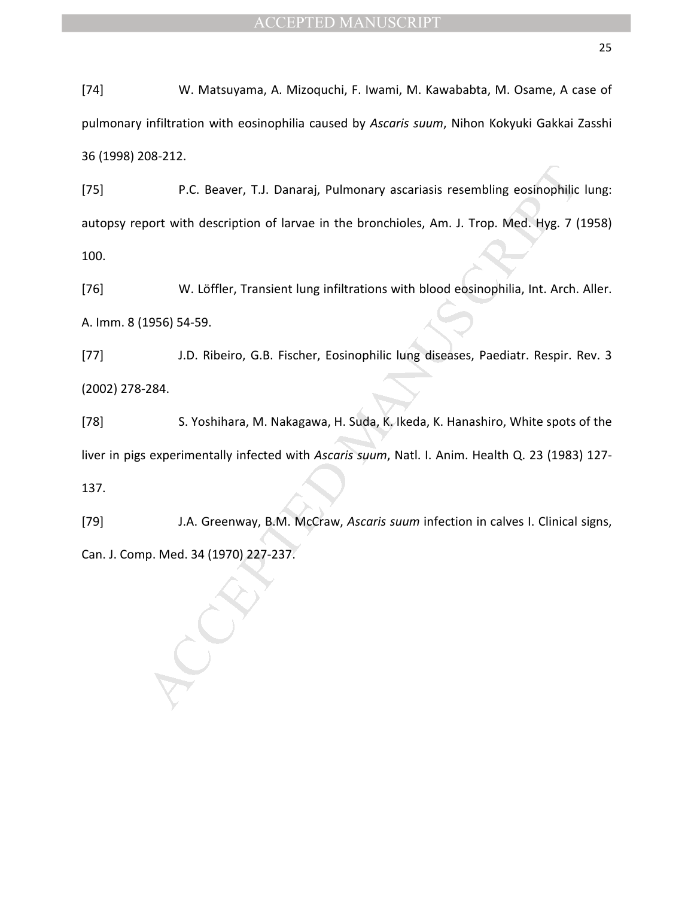[74] W. Matsuyama, A. Mizoquchi, F. Iwami, M. Kawababta, M. Osame, A case of pulmonary infiltration with eosinophilia caused by *Ascaris suum*, Nihon Kokyuki Gakkai Zasshi 36 (1998) 208-212.

P.C. Beaver, T.J. Danaraj, Pulmonary ascariasis resembling eosinophilic<br>coort with description of larvae in the bronchioles, Am. J. Trop. Med. Hyg. 7 (<br>W. Löffler, Transient lung infiltrations with blood eosinophilia, Int. [75] P.C. Beaver, T.J. Danaraj, Pulmonary ascariasis resembling eosinophilic lung: autopsy report with description of larvae in the bronchioles, Am. J. Trop. Med. Hyg. 7 (1958) 100.

[76] W. Löffler, Transient lung infiltrations with blood eosinophilia, Int. Arch. Aller. A. Imm. 8 (1956) 54-59.

[77] J.D. Ribeiro, G.B. Fischer, Eosinophilic lung diseases, Paediatr. Respir. Rev. 3 (2002) 278-284.

[78] S. Yoshihara, M. Nakagawa, H. Suda, K. Ikeda, K. Hanashiro, White spots of the liver in pigs experimentally infected with *Ascaris suum*, Natl. I. Anim. Health Q. 23 (1983) 127- 137.

[79] J.A. Greenway, B.M. McCraw, *Ascaris suum* infection in calves I. Clinical signs, Can. J. Comp. Med. 34 (1970) 227-237.